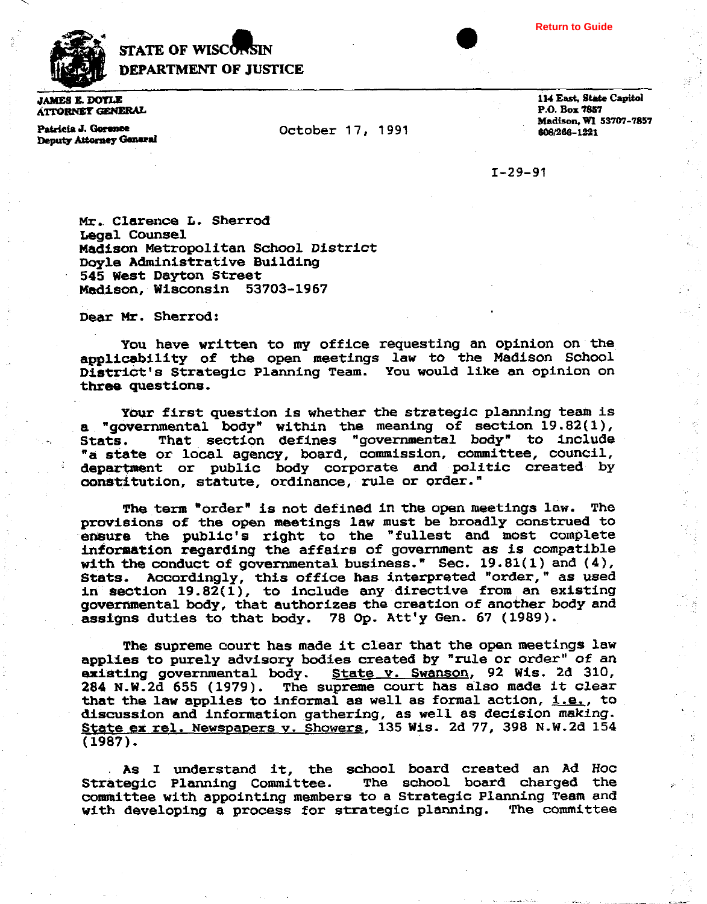

## **STATE OF WISCONSIN DEPARTMENT OF JUSTICE**

**JAMES E. DOYLE ATTORNET GENERAL** 

Patricia J. Gorence Deputy Attorney General **October 17, 1991** 

114 East. State Capitol **P.O. Box 7857 Madison, WI 53707-7857 80B/2BB-m1** 

**Return to Guide**

 $I - 29 - 91$ 

**Mr. Clarence L. Shatrod Legal Counsel Madison Metropolitan School District Doyle Administrative Building 545 West Dayton Street Msdison, Wisconsin 53703-1967** 

**Dear Mr. Sherrod:** 

**You have written to my office requesting an opinion on the applicability of the open meetings law to the Madison School District's Strategic Planning Team. You would like an opinion on three questions.** 

Your first question is whether the strategic planning team is **a "governmental body" within the meaning of section 19.82(1), ~tats. That section defines "governmental bodyn to include "a state or local agency, board, commission, committee, council, department or public body corporate and politic created by constitution, statute, ordinance, rule or order."** 

**The term "order" is not defined in the open meetings law. The provisions of the open meetings law must be broadly construed to ensure the public's right to the "fullest and most complete**  information regarding the affairs of government as is compatible with the conduct of governmental business." Sec. 19.81(1) and  $(4)$ , **Stats. Accordingly, this office has interpreted "order," as used in section 19.82(1), to include any directive from an existing governmental body, that authorizesthe creation of another body and assigns duties to that body. 78 Op. Att'y Gen. 67 (1989).** 

**The supreme court has made it clear that the open meetings law applies to purely advisory bodies created by "rule or order" of an existing governmental body. State v. Swanson, 92 Wis. 26 310, 284 N.W.2d 655 (1979). The supreme court has also made it clear that the law applies to informal as well as formal action, i.e., to discussion and information gathering, as well as decision making. <u>State ex rel. Newspapers v. Showers</u>, 135 Wis. 2d 77, 398 N.W.2d 154 (1987).** 

**As I understand it, the school board created an Ad Hoc Strategic Planning Committee. The school board charged the cormnittee with appointing members to a Strategic Planning Team and with developing a process for strategic planning. The committee**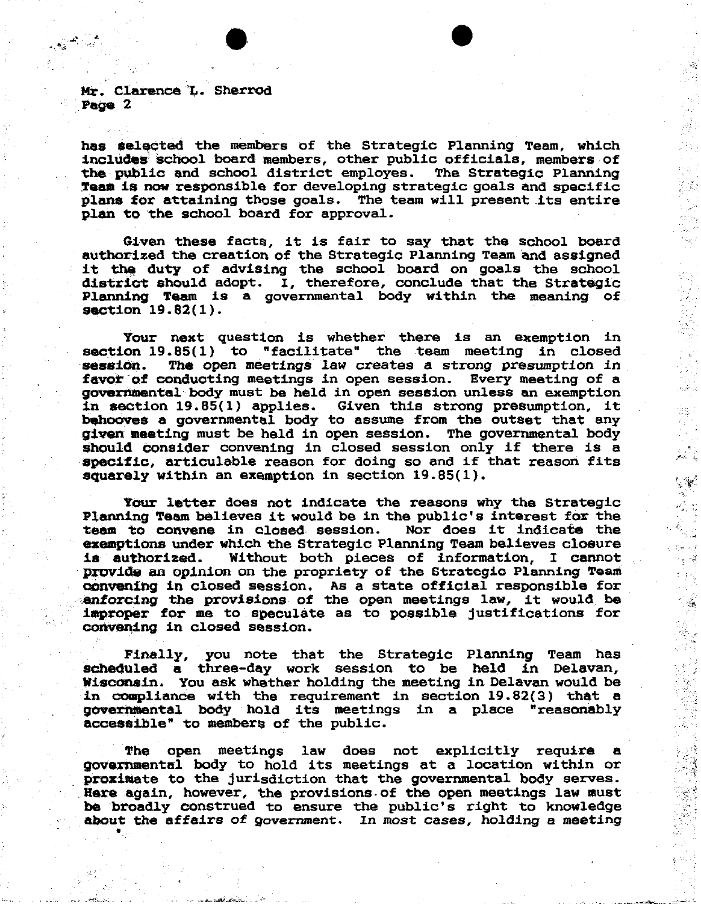

ĊS.

्कूट

18

**Mr. Clarence L. Sherrod Page 2** 

**has selected the members of the Strategic Planning Team, which inoludas school board members, other public officials, members of**  the public and school district employes. Team is now responsible for developing strategic goals and specific **plan8 for attaining those goals. The team will present its entire plan to the school board for approval.** 

**Given these facts, it is fair to say that the school board authorized the creation of the Strategic Planning Team and assigned it the duty of advising the school board on goals the school district should adopt. I, therefore, conclude that the Strategic Planning Team is a governmental body within the meaning of section 19.82(1).** 

**Your next question is whether there is an exemption in section l9.85( 1** ) **to** " **f acilitate" the team meeting in closed session.** The **open meetings law creates a strong presumption in favor of conducting meetings in open session. Every meeting of a**  governmental body must be held in open session unless an exemption **In section 19.85(1) applies. Given this strong presumption, it**  behooves a governmental body to assume from the outset that any **given meeting must be held in open session. The governmental body should consider convening in closed session only if there is a specific, articulable reason for doing so and if that reason fits squarely within an exemption in section 19.85(1).** 

**Your letter does not indicate the reasons why the Strategic**  Planning **Team** believes it would be in the public's interest for the **team to convane in closed session. Nor does it indicate the exemptions under which the Strategic Planning Team believes closure is authorized. Without both pieces of information, I cannot proviQe an opinion on the propriety of the Stratcgio Planning Team convening in closed session. As a state official responsible for enforcing the provisions of the open meetings law, it would be improper for me to speculate as to possible justifications for comrening in closed session.** 

**Finally, you note that the Strategic Planning Team has scheduled a three-day work session to be held in Delavan, Wiscamin. You ask whether holding the meeting in Delavan would be in coapliance with the requirement in section 19.82(3) that a governmental body hold its meetings in a place "reasonably accessible" to members of the public.** 

**The open meetings law does not explicitly require a gouQfnsranta1 body to hold its meetings at a location within or**  proximate to the jurisdiction that the governmental body serves. **Bere again, however, the provisions.of the open meetings law must be broadly construed to ensure the public's right to knwledge about the affairs of government. In most cases, holding a meeting** .